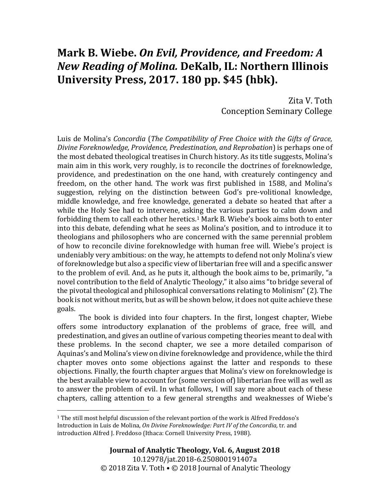## **Mark B. Wiebe.** *On Evil, Providence, and Freedom: A New Reading of Molina.* **DeKalb, IL: Northern Illinois University Press, 2017. 180 pp. \$45 (hbk).**

Zita V. Toth Conception Seminary College

Luis de Molina's *Concordia* (*The Compatibility of Free Choice with the Gifts of Grace, Divine Foreknowledge, Providence, Predestination, and Reprobation*) is perhaps one of the most debated theological treatises in Church history. As its title suggests, Molina's main aim in this work, very roughly, is to reconcile the doctrines of foreknowledge, providence, and predestination on the one hand, with creaturely contingency and freedom, on the other hand. The work was first published in 1588, and Molina's suggestion, relying on the distinction between God's pre-volitional knowledge, middle knowledge, and free knowledge, generated a debate so heated that after a while the Holy See had to intervene, asking the various parties to calm down and forbidding them to call each other heretics.<sup>1</sup> Mark B. Wiebe's book aims both to enter into this debate, defending what he sees as Molina's position, and to introduce it to theologians and philosophers who are concerned with the same perennial problem of how to reconcile divine foreknowledge with human free will. Wiebe's project is undeniably very ambitious: on the way, he attempts to defend not only Molina's view of foreknowledge but also a specific view of libertarian free will and a specific answer to the problem of evil. And, as he puts it, although the book aims to be, primarily, "a novel contribution to the field of Analytic Theology," it also aims "to bridge several of the pivotal theological and philosophical conversations relating to Molinism" (2). The book is not without merits, but as will be shown below, it does not quite achieve these goals.

The book is divided into four chapters. In the first, longest chapter, Wiebe offers some introductory explanation of the problems of grace, free will, and predestination, and gives an outline of various competing theories meant to deal with these problems. In the second chapter, we see a more detailed comparison of Aquinas's and Molina's view on divine foreknowledge and providence, while the third chapter moves onto some objections against the latter and responds to these objections. Finally, the fourth chapter argues that Molina's view on foreknowledge is the best available view to account for (some version of) libertarian free will as well as to answer the problem of evil. In what follows, I will say more about each of these chapters, calling attention to a few general strengths and weaknesses of Wiebe's

<sup>&</sup>lt;sup>1</sup> The still most helpful discussion of the relevant portion of the work is Alfred Freddoso's Introduction in Luis de Molina, *On Divine Foreknowledge: Part IV of the Concordia,* tr. and introduction Alfred J. Freddoso (Ithaca: Cornell University Press, 1988).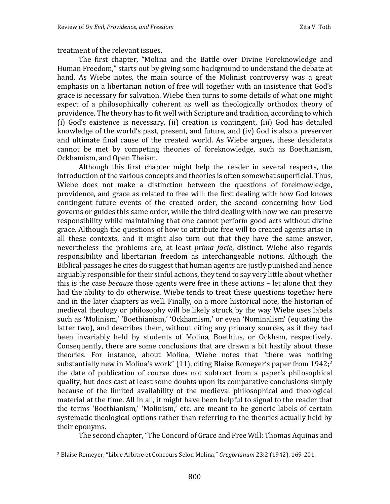treatment of the relevant issues.

The first chapter, "Molina and the Battle over Divine Foreknowledge and Human Freedom," starts out by giving some background to understand the debate at hand. As Wiebe notes, the main source of the Molinist controversy was a great emphasis on a libertarian notion of free will together with an insistence that God's grace is necessary for salvation. Wiebe then turns to some details of what one might expect of a philosophically coherent as well as theologically orthodox theory of providence. The theory has to fit well with Scripture and tradition, according to which (i) God's existence is necessary, (ii) creation is contingent, (iii) God has detailed knowledge of the world's past, present, and future, and (iv) God is also a preserver and ultimate final cause of the created world. As Wiebe argues, these desiderata cannot be met by competing theories of foreknowledge, such as Boethianism, Ockhamism, and Open Theism.

Although this first chapter might help the reader in several respects, the introduction of the various concepts and theories is often somewhat superficial. Thus, Wiebe does not make a distinction between the questions of foreknowledge, providence, and grace as related to free will: the first dealing with how God knows contingent future events of the created order, the second concerning how God governs or guides this same order, while the third dealing with how we can preserve responsibility while maintaining that one cannot perform good acts without divine grace. Although the questions of how to attribute free will to created agents arise in all these contexts, and it might also turn out that they have the same answer, nevertheless the problems are, at least *prima facie*, distinct. Wiebe also regards responsibility and libertarian freedom as interchangeable notions. Although the Biblical passages he cites do suggest that human agents are justly punished and hence arguably responsible for their sinful actions, they tend to say very little about whether this is the case *because* those agents were free in these actions – let alone that they had the ability to do otherwise. Wiebe tends to treat these questions together here and in the later chapters as well. Finally, on a more historical note, the historian of medieval theology or philosophy will be likely struck by the way Wiebe uses labels such as 'Molinism,' 'Boethianism,' 'Ockhamism,' or even 'Nominalism' (equating the latter two), and describes them, without citing any primary sources, as if they had been invariably held by students of Molina, Boethius, or Ockham, respectively. Consequently, there are some conclusions that are drawn a bit hastily about these theories. For instance, about Molina, Wiebe notes that "there was nothing substantially new in Molina's work" (11), citing Blaise Romeyer's paper from 1942;<sup>2</sup> the date of publication of course does not subtract from a paper's philosophical quality, but does cast at least some doubts upon its comparative conclusions simply because of the limited availability of the medieval philosophical and theological material at the time. All in all, it might have been helpful to signal to the reader that the terms 'Boethianism,' 'Molinism,' etc. are meant to be generic labels of certain systematic theological options rather than referring to the theories actually held by their eponyms.

The second chapter, "The Concord of Grace and Free Will: Thomas Aquinas and

<sup>2</sup> Blaise Romeyer, "Libre Arbitre et Concours Selon Molina," *Gregorianum* 23:2 (1942), 169-201.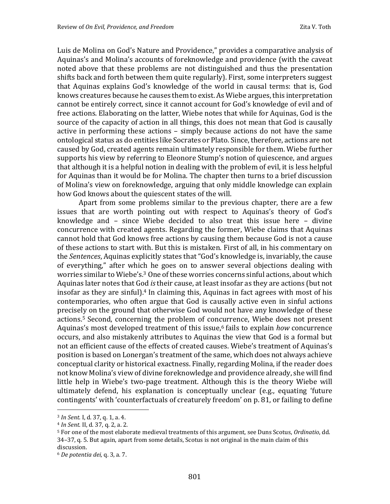Luis de Molina on God's Nature and Providence," provides a comparative analysis of Aquinas's and Molina's accounts of foreknowledge and providence (with the caveat noted above that these problems are not distinguished and thus the presentation shifts back and forth between them quite regularly). First, some interpreters suggest that Aquinas explains God's knowledge of the world in causal terms: that is, God knows creatures because he causes them to exist. As Wiebe argues, this interpretation cannot be entirely correct, since it cannot account for God's knowledge of evil and of free actions. Elaborating on the latter, Wiebe notes that while for Aquinas, God is the source of the capacity of action in all things, this does not mean that God is causally active in performing these actions – simply because actions do not have the same ontological status as do entities like Socrates or Plato. Since, therefore, actions are not caused by God, created agents remain ultimately responsible for them. Wiebe further supports his view by referring to Eleonore Stump's notion of quiescence, and argues that although it is a helpful notion in dealing with the problem of evil, it is less helpful for Aquinas than it would be for Molina. The chapter then turns to a brief discussion of Molina's view on foreknowledge, arguing that only middle knowledge can explain how God knows about the quiescent states of the will.

Apart from some problems similar to the previous chapter, there are a few issues that are worth pointing out with respect to Aquinas's theory of God's knowledge and – since Wiebe decided to also treat this issue here – divine concurrence with created agents. Regarding the former, Wiebe claims that Aquinas cannot hold that God knows free actions by causing them because God is not a cause of these actions to start with. But this is mistaken. First of all, in his commentary on the *Sentences*, Aquinas explicitly states that "God's knowledge is, invariably, the cause of everything," after which he goes on to answer several objections dealing with worries similar to Wiebe's.<sup>3</sup> One of these worries concerns sinful actions, about which Aquinas later notes that God *is*their cause, at least insofar as they are actions (but not insofar as they are sinful).<sup>4</sup> In claiming this, Aquinas in fact agrees with most of his contemporaries, who often argue that God is causally active even in sinful actions precisely on the ground that otherwise God would not have any knowledge of these actions.<sup>5</sup> Second, concerning the problem of concurrence, Wiebe does not present Aquinas's most developed treatment of this issue,<sup>6</sup> fails to explain *how* concurrence occurs, and also mistakenly attributes to Aquinas the view that God is a formal but not an efficient cause of the effects of created causes. Wiebe's treatment of Aquinas's position is based on Lonergan's treatment of the same, which does not always achieve conceptual clarity or historical exactness. Finally, regarding Molina, if the reader does not know Molina's view of divine foreknowledge and providence already, she will find little help in Wiebe's two-page treatment. Although this is the theory Wiebe will ultimately defend, his explanation is conceptually unclear (e.g., equating 'future contingents' with 'counterfactuals of creaturely freedom' on p. 81, or failing to define

<sup>3</sup> *In Sent.* I, d. 37, q. 1, a. 4.

<sup>4</sup> *In Sent.* II, d. 37, q. 2, a. 2.

<sup>5</sup> For one of the most elaborate medieval treatments of this argument, see Duns Scotus, *Ordinatio*, dd. 34–37, q. 5. But again, apart from some details, Scotus is not original in the main claim of this discussion.

<sup>6</sup> *De potentia dei,* q. 3, a. 7.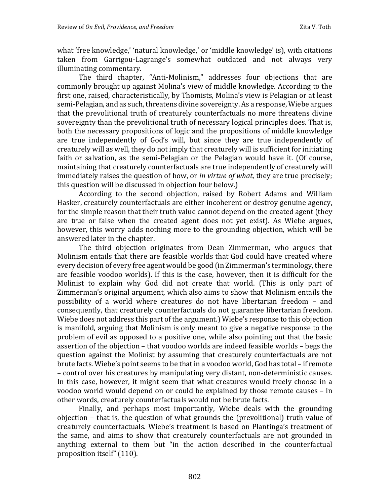what 'free knowledge,' 'natural knowledge,' or 'middle knowledge' is), with citations taken from Garrigou-Lagrange's somewhat outdated and not always very illuminating commentary.

The third chapter, "Anti-Molinism," addresses four objections that are commonly brought up against Molina's view of middle knowledge. According to the first one, raised, characteristically, by Thomists, Molina's view is Pelagian or at least semi-Pelagian, and as such, threatens divine sovereignty. As a response, Wiebe argues that the prevolitional truth of creaturely counterfactuals no more threatens divine sovereignty than the prevolitional truth of necessary logical principles does. That is, both the necessary propositions of logic and the propositions of middle knowledge are true independently of God's will, but since they are true independently of creaturely will as well, they do not imply that creaturely will is sufficient for initiating faith or salvation, as the semi-Pelagian or the Pelagian would have it. (Of course, maintaining that creaturely counterfactuals are true independently of creaturely will immediately raises the question of how, or *in virtue of what*, they are true precisely; this question will be discussed in objection four below.)

According to the second objection, raised by Robert Adams and William Hasker, creaturely counterfactuals are either incoherent or destroy genuine agency, for the simple reason that their truth value cannot depend on the created agent (they are true or false when the created agent does not yet exist). As Wiebe argues, however, this worry adds nothing more to the grounding objection, which will be answered later in the chapter.

The third objection originates from Dean Zimmerman, who argues that Molinism entails that there are feasible worlds that God could have created where every decision of every free agent would be good (in Zimmerman's terminology, there are feasible voodoo worlds). If this is the case, however, then it is difficult for the Molinist to explain why God did not create that world. (This is only part of Zimmerman's original argument, which also aims to show that Molinism entails the possibility of a world where creatures do not have libertarian freedom – and consequently, that creaturely counterfactuals do not guarantee libertarian freedom. Wiebe does not address this part of the argument.) Wiebe's response to this objection is manifold, arguing that Molinism is only meant to give a negative response to the problem of evil as opposed to a positive one, while also pointing out that the basic assertion of the objection – that voodoo worlds are indeed feasible worlds – begs the question against the Molinist by assuming that creaturely counterfactuals are not brute facts. Wiebe's point seems to be that in a voodoo world, God has total – if remote – control over his creatures by manipulating very distant, non-deterministic causes. In this case, however, it might seem that what creatures would freely choose in a voodoo world would depend on or could be explained by those remote causes – in other words, creaturely counterfactuals would not be brute facts.

Finally, and perhaps most importantly, Wiebe deals with the grounding objection – that is, the question of what grounds the (prevolitional) truth value of creaturely counterfactuals. Wiebe's treatment is based on Plantinga's treatment of the same, and aims to show that creaturely counterfactuals are not grounded in anything external to them but "in the action described in the counterfactual proposition itself" (110).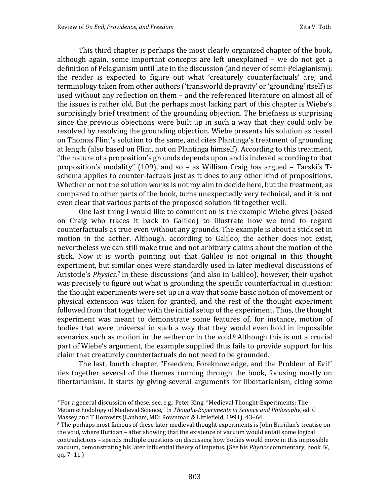This third chapter is perhaps the most clearly organized chapter of the book, although again, some important concepts are left unexplained – we do not get a definition of Pelagianism until late in the discussion (and never of semi-Pelagianism); the reader is expected to figure out what 'creaturely counterfactuals' are; and terminology taken from other authors ('transworld depravity' or 'grounding' itself) is used without any reflection on them – and the referenced literature on almost all of the issues is rather old. But the perhaps most lacking part of this chapter is Wiebe's surprisingly brief treatment of the grounding objection. The briefness is surprising since the previous objections were built up in such a way that they could only be resolved by resolving the grounding objection. Wiebe presents his solution as based on Thomas Flint's solution to the same, and cites Plantinga's treatment of grounding at length (also based on Flint, not on Plantinga himself). According to this treatment, "the nature of a proposition's grounds depends upon and is indexed according to that proposition's modality" (109), and so – as William Craig has argued – Tarski's Tschema applies to counter-factuals just as it does to any other kind of propositions. Whether or not the solution works is not my aim to decide here, but the treatment, as compared to other parts of the book, turns unexpectedly very technical, and it is not even clear that various parts of the proposed solution fit together well.

One last thing I would like to comment on is the example Wiebe gives (based on Craig who traces it back to Galileo) to illustrate how we tend to regard counterfactuals as true even without any grounds. The example is about a stick set in motion in the aether. Although, according to Galileo, the aether does not exist, nevertheless we can still make true and not arbitrary claims about the motion of the stick. Now it is worth pointing out that Galileo is not original in this thought experiment, but similar ones were standardly used in later medieval discussions of Aristotle's *Physics*. *<sup>7</sup>* In these discussions (and also in Galileo), however, their upshot was precisely to figure out what *is* grounding the specific counterfactual in question: the thought experiments were set up in a way that some basic notion of movement or physical extension was taken for granted, and the rest of the thought experiment followed from that together with the initial setup of the experiment. Thus, the thought experiment was meant to demonstrate some features of, for instance, motion of bodies that were universal in such a way that they would even hold in impossible scenarios such as motion in the aether or in the void.<sup>8</sup> Although this is not a crucial part of Wiebe's argument, the example supplied thus fails to provide support for his claim that creaturely counterfactuals do not need to be grounded.

The last, fourth chapter, "Freedom, Foreknowledge, and the Problem of Evil" ties together several of the themes running through the book, focusing mostly on libertarianism. It starts by giving several arguments for libertarianism, citing some

*<sup>7</sup>* For a general discussion of these, see, e.g., Peter King, "Medieval Thought-Experiments: The Metamethodology of Medieval Science," In *Thought-Experiments in Science and Philosophy*, ed. G Massey and T Horowitz (Lanham, MD: Rownman & Littlefield, 1991), 43–64.

<sup>&</sup>lt;sup>8</sup> The perhaps most famous of these later medieval thought experiments is John Buridan's treatise on the void, where Buridan – after showing that the existence of vacuum would entail some logical contradictions – spends multiple questions on discussing how bodies would move in this impossible vacuum, demonstrating his later influential theory of impetus. (See his *Physics* commentary, book IV, qq. 7–11.)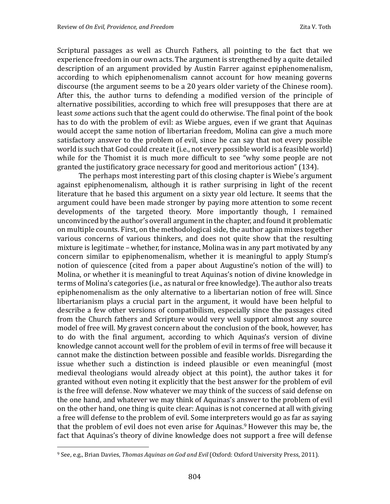Scriptural passages as well as Church Fathers, all pointing to the fact that we experience freedom in our own acts. The argument is strengthened by a quite detailed description of an argument provided by Austin Farrer against epiphenomenalism, according to which epiphenomenalism cannot account for how meaning governs discourse (the argument seems to be a 20 years older variety of the Chinese room). After this, the author turns to defending a modified version of the principle of alternative possibilities, according to which free will presupposes that there are at least *some* actions such that the agent could do otherwise. The final point of the book has to do with the problem of evil: as Wiebe argues, even if we grant that Aquinas would accept the same notion of libertarian freedom, Molina can give a much more satisfactory answer to the problem of evil, since he can say that not every possible world is such that God could create it (i.e., not every possible world is a feasible world) while for the Thomist it is much more difficult to see "why some people are not granted the justificatory grace necessary for good and meritorious action" (134).

The perhaps most interesting part of this closing chapter is Wiebe's argument against epiphenomenalism, although it is rather surprising in light of the recent literature that he based this argument on a sixty year old lecture. It seems that the argument could have been made stronger by paying more attention to some recent developments of the targeted theory. More importantly though, I remained unconvinced by the author's overall argument in the chapter, and found it problematic on multiple counts. First, on the methodological side, the author again mixes together various concerns of various thinkers, and does not quite show that the resulting mixture is legitimate – whether, for instance, Molina was in any part motivated by any concern similar to epiphenomenalism, whether it is meaningful to apply Stump's notion of quiescence (cited from a paper about Augustine's notion of the will) to Molina, or whether it is meaningful to treat Aquinas's notion of divine knowledge in terms of Molina's categories (i.e., as natural or free knowledge). The author also treats epiphenomenalism as the only alternative to a libertarian notion of free will. Since libertarianism plays a crucial part in the argument, it would have been helpful to describe a few other versions of compatibilism, especially since the passages cited from the Church fathers and Scripture would very well support almost any source model of free will. My gravest concern about the conclusion of the book, however, has to do with the final argument, according to which Aquinas's version of divine knowledge cannot account well for the problem of evil in terms of free will because it cannot make the distinction between possible and feasible worlds. Disregarding the issue whether such a distinction is indeed plausible or even meaningful (most medieval theologians would already object at this point), the author takes it for granted without even noting it explicitly that the best answer for the problem of evil is the free will defense. Now whatever we may think of the success of said defense on the one hand, and whatever we may think of Aquinas's answer to the problem of evil on the other hand, one thing is quite clear: Aquinas is not concerned at all with giving a free will defense to the problem of evil. Some interpreters would go as far as saying that the problem of evil does not even arise for Aquinas.<sup>9</sup> However this may be, the fact that Aquinas's theory of divine knowledge does not support a free will defense

<sup>9</sup> See, e.g., Brian Davies, *Thomas Aquinas on God and Evil* (Oxford: Oxford University Press, 2011).